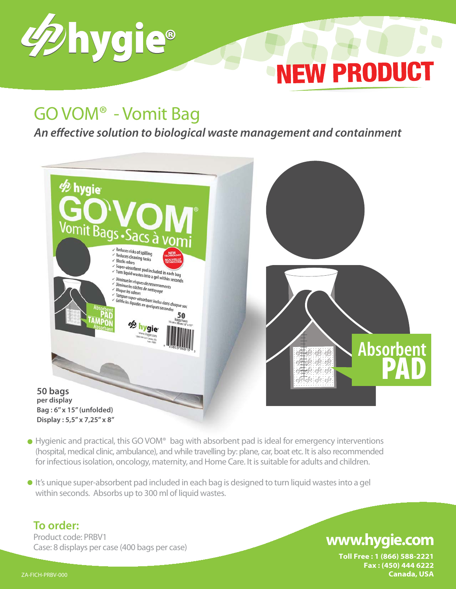

# GO VOM® - Vomit Bag

*An effective solution to biological waste management and containment*



- Hygienic and practical, this GO VOM<sup>®</sup> bag with absorbent pad is ideal for emergency interventions (hospital, medical clinic, ambulance), and while travelling by: plane, car, boat etc. It is also recommended for infectious isolation, oncology, maternity, and Home Care. It is suitable for adults and children.
- It's unique super-absorbent pad included in each bag is designed to turn liquid wastes into a gel within seconds. Absorbs up to 300 ml of liquid wastes.

#### **To order:**

Product code: PRBV1 Case: 8 displays per case (400 bags per case)

### **www.hygie.com**

**NEW PRODUCT** 

**Toll Free : 1 (866) 588-2221 Fax : (450) 444 6222** ZA-FICH-PRBV-000 **Canada, USA**